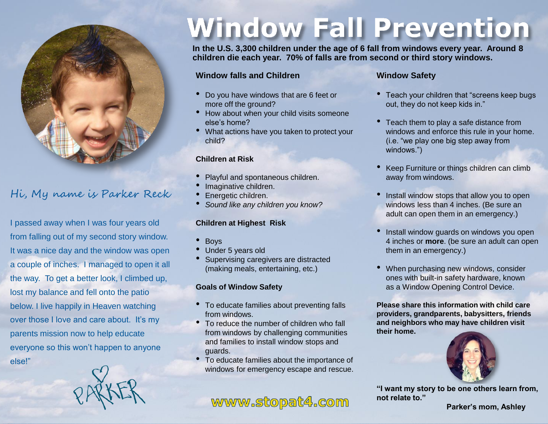

## Hi, My name is Parker Reck

I passed away when I was four years old from falling out of my second story window. It was a nice day and the window was open a couple of inches. I managed to open it all the way. To get a better look, I climbed up, lost my balance and fell onto the patio below. I live happily in Heaven watching over those I love and care about. It's my parents mission now to help educate everyone so this won't happen to anyone else!"



# **Window Fall Prevention**

**In the U.S. 3,300 children under the age of 6 fall from windows every year. Around 8 children die each year. 70% of falls are from second or third story windows.**

#### **Window falls and Children**

- Do you have windows that are 6 feet or more off the ground?
- How about when your child visits someone else's home?
- What actions have you taken to protect your child?

#### **Children at Risk**

- Playful and spontaneous children.
- Imaginative children.
- Energetic children.
- *Sound like any children you know?*

#### **Children at Highest Risk**

- Boys
- Under 5 years old
- Supervising caregivers are distracted (making meals, entertaining, etc.)

#### **Goals of Window Safety**

- To educate families about preventing falls from windows.
- To reduce the number of children who fall from windows by challenging communities and families to install window stops and guards.
- To educate families about the importance of windows for emergency escape and rescue.

## www.stopat4.com

### **Window Safety**

- Teach your children that "screens keep bugs out, they do not keep kids in."
- Teach them to play a safe distance from windows and enforce this rule in your home. (i.e. "we play one big step away from windows.")
- Keep Furniture or things children can climb away from windows.
- Install window stops that allow you to open windows less than 4 inches. (Be sure an adult can open them in an emergency.)
- Install window guards on windows you open 4 inches or **more**. (be sure an adult can open them in an emergency.)
- When purchasing new windows, consider ones with built-in safety hardware, known as a Window Opening Control Device.

**Please share this information with child care providers, grandparents, babysitters, friends and neighbors who may have children visit their home.**



**"I want my story to be one others learn from, not relate to."**

**Parker's mom, Ashley**